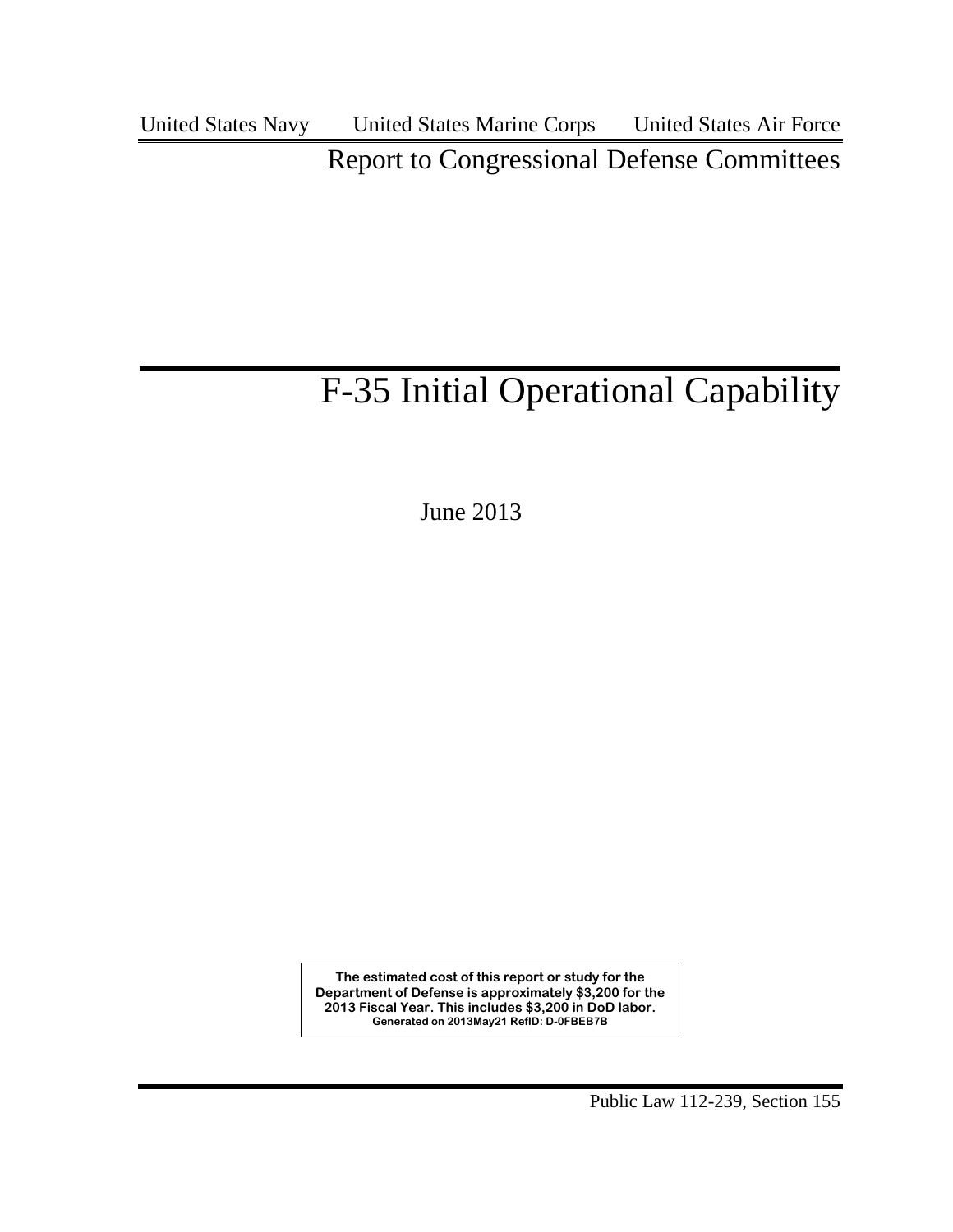United States Navy United States Marine Corps United States Air Force

Report to Congressional Defense Committees

# F-35 Initial Operational Capability

June 2013

**The estimated cost of this report or study for the Department of Defense is approximately \$3,200 for the 2013 Fiscal Year. This includes \$3,200 in DoD labor. Generated on 2013May21 RefID: D-0FBEB7B**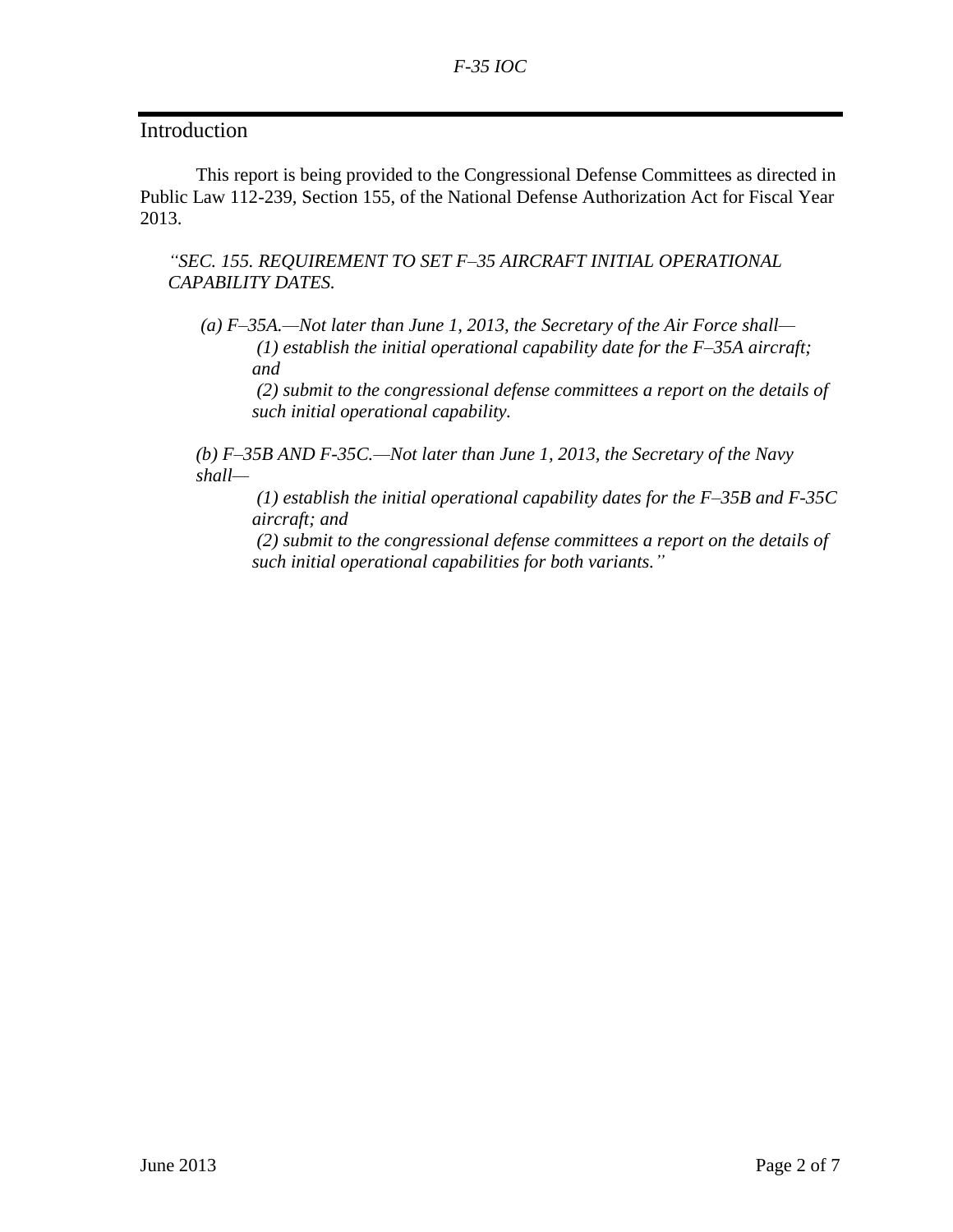## **Introduction**

This report is being provided to the Congressional Defense Committees as directed in Public Law 112-239, Section 155, of the National Defense Authorization Act for Fiscal Year 2013.

*―SEC. 155. REQUIREMENT TO SET F–35 AIRCRAFT INITIAL OPERATIONAL CAPABILITY DATES.*

*(a) F–35A.—Not later than June 1, 2013, the Secretary of the Air Force shall— (1) establish the initial operational capability date for the F–35A aircraft; and*

*(2) submit to the congressional defense committees a report on the details of such initial operational capability.*

*(b) F–35B AND F-35C.—Not later than June 1, 2013, the Secretary of the Navy shall—*

*(1) establish the initial operational capability dates for the F–35B and F-35C aircraft; and*

*(2) submit to the congressional defense committees a report on the details of such initial operational capabilities for both variants.‖*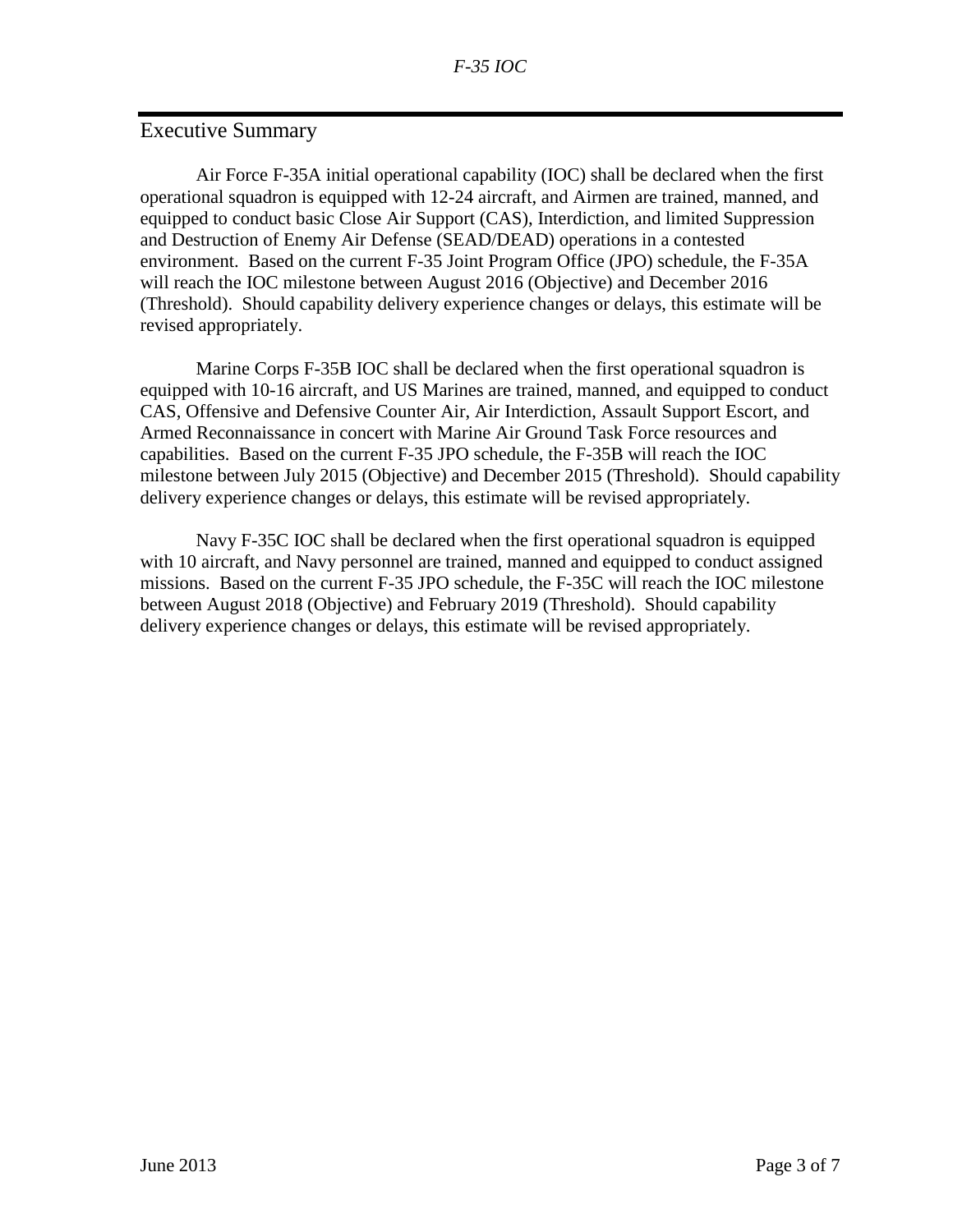# Executive Summary

Air Force F-35A initial operational capability (IOC) shall be declared when the first operational squadron is equipped with 12-24 aircraft, and Airmen are trained, manned, and equipped to conduct basic Close Air Support (CAS), Interdiction, and limited Suppression and Destruction of Enemy Air Defense (SEAD/DEAD) operations in a contested environment. Based on the current F-35 Joint Program Office (JPO) schedule, the F-35A will reach the IOC milestone between August 2016 (Objective) and December 2016 (Threshold). Should capability delivery experience changes or delays, this estimate will be revised appropriately.

 Marine Corps F-35B IOC shall be declared when the first operational squadron is equipped with 10-16 aircraft, and US Marines are trained, manned, and equipped to conduct CAS, Offensive and Defensive Counter Air, Air Interdiction, Assault Support Escort, and Armed Reconnaissance in concert with Marine Air Ground Task Force resources and capabilities. Based on the current F-35 JPO schedule, the F-35B will reach the IOC milestone between July 2015 (Objective) and December 2015 (Threshold). Should capability delivery experience changes or delays, this estimate will be revised appropriately.

Navy F-35C IOC shall be declared when the first operational squadron is equipped with 10 aircraft, and Navy personnel are trained, manned and equipped to conduct assigned missions. Based on the current F-35 JPO schedule, the F-35C will reach the IOC milestone between August 2018 (Objective) and February 2019 (Threshold). Should capability delivery experience changes or delays, this estimate will be revised appropriately.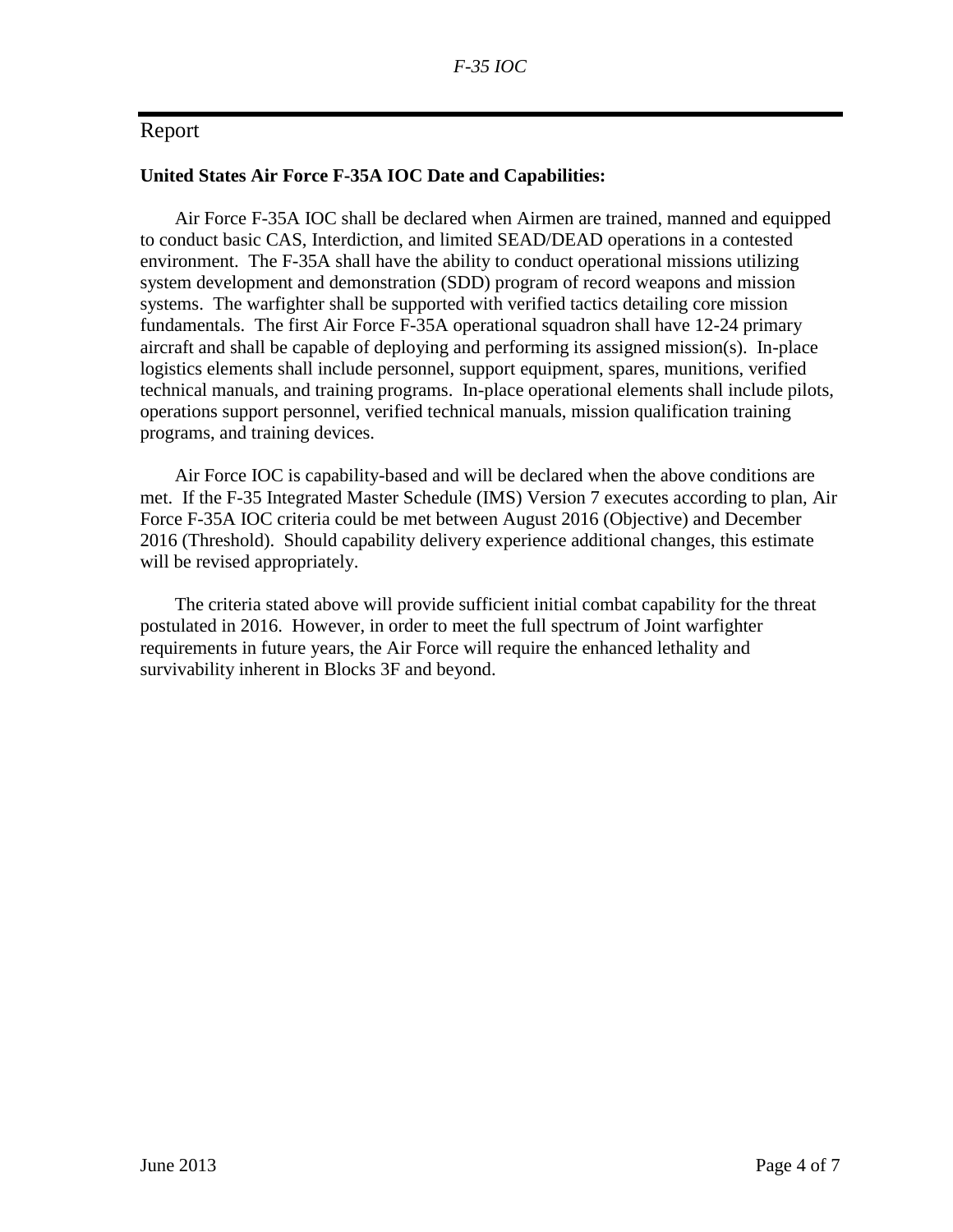## Report

#### **United States Air Force F-35A IOC Date and Capabilities:**

Air Force F-35A IOC shall be declared when Airmen are trained, manned and equipped to conduct basic CAS, Interdiction, and limited SEAD/DEAD operations in a contested environment. The F-35A shall have the ability to conduct operational missions utilizing system development and demonstration (SDD) program of record weapons and mission systems. The warfighter shall be supported with verified tactics detailing core mission fundamentals. The first Air Force F-35A operational squadron shall have 12-24 primary aircraft and shall be capable of deploying and performing its assigned mission(s). In-place logistics elements shall include personnel, support equipment, spares, munitions, verified technical manuals, and training programs. In-place operational elements shall include pilots, operations support personnel, verified technical manuals, mission qualification training programs, and training devices.

Air Force IOC is capability-based and will be declared when the above conditions are met. If the F-35 Integrated Master Schedule (IMS) Version 7 executes according to plan, Air Force F-35A IOC criteria could be met between August 2016 (Objective) and December 2016 (Threshold). Should capability delivery experience additional changes, this estimate will be revised appropriately.

The criteria stated above will provide sufficient initial combat capability for the threat postulated in 2016. However, in order to meet the full spectrum of Joint warfighter requirements in future years, the Air Force will require the enhanced lethality and survivability inherent in Blocks 3F and beyond.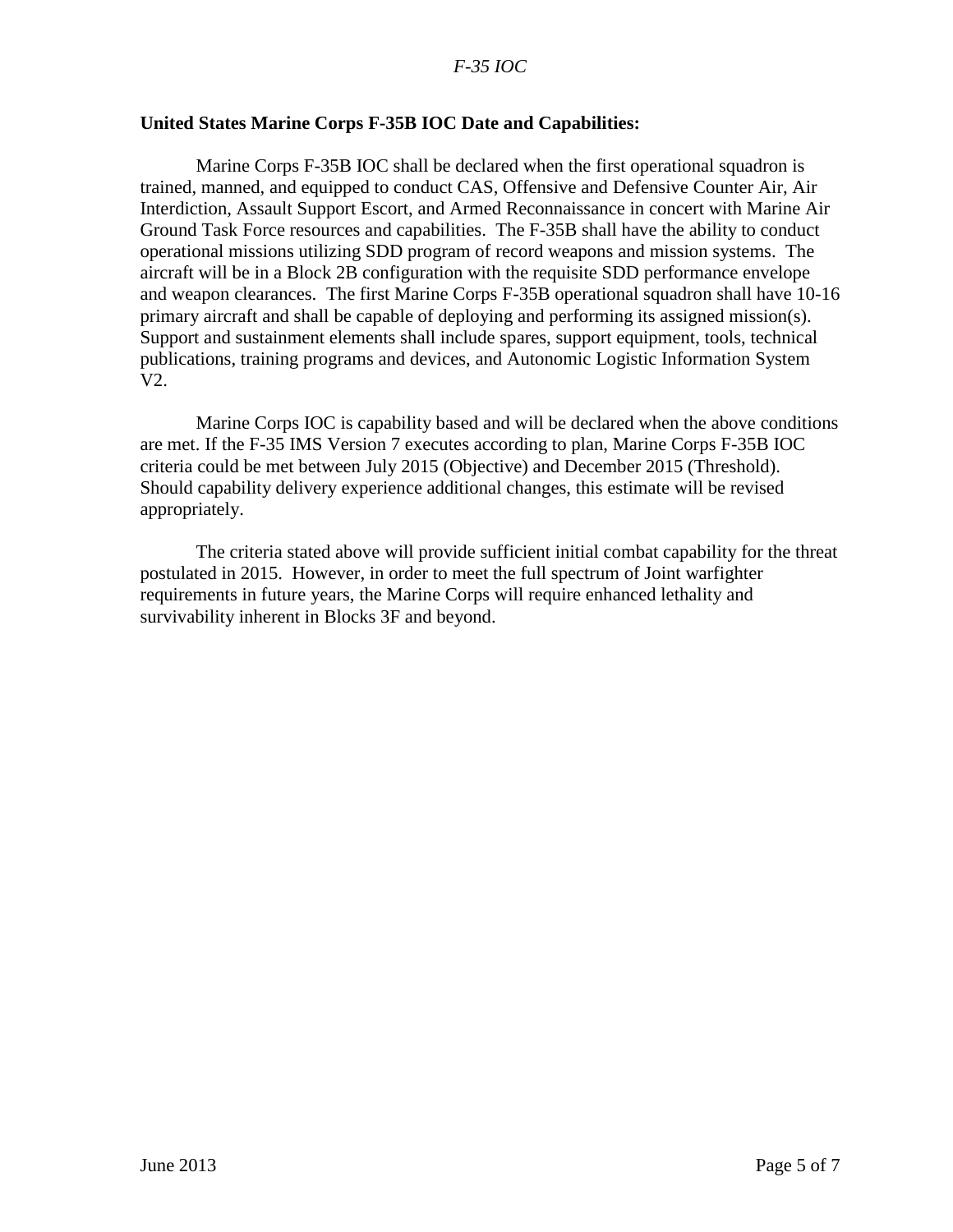#### *F-35 IOC*

#### **United States Marine Corps F-35B IOC Date and Capabilities:**

Marine Corps F-35B IOC shall be declared when the first operational squadron is trained, manned, and equipped to conduct CAS, Offensive and Defensive Counter Air, Air Interdiction, Assault Support Escort, and Armed Reconnaissance in concert with Marine Air Ground Task Force resources and capabilities. The F-35B shall have the ability to conduct operational missions utilizing SDD program of record weapons and mission systems. The aircraft will be in a Block 2B configuration with the requisite SDD performance envelope and weapon clearances. The first Marine Corps F-35B operational squadron shall have 10-16 primary aircraft and shall be capable of deploying and performing its assigned mission(s). Support and sustainment elements shall include spares, support equipment, tools, technical publications, training programs and devices, and Autonomic Logistic Information System V2.

Marine Corps IOC is capability based and will be declared when the above conditions are met. If the F-35 IMS Version 7 executes according to plan, Marine Corps F-35B IOC criteria could be met between July 2015 (Objective) and December 2015 (Threshold). Should capability delivery experience additional changes, this estimate will be revised appropriately.

The criteria stated above will provide sufficient initial combat capability for the threat postulated in 2015. However, in order to meet the full spectrum of Joint warfighter requirements in future years, the Marine Corps will require enhanced lethality and survivability inherent in Blocks 3F and beyond.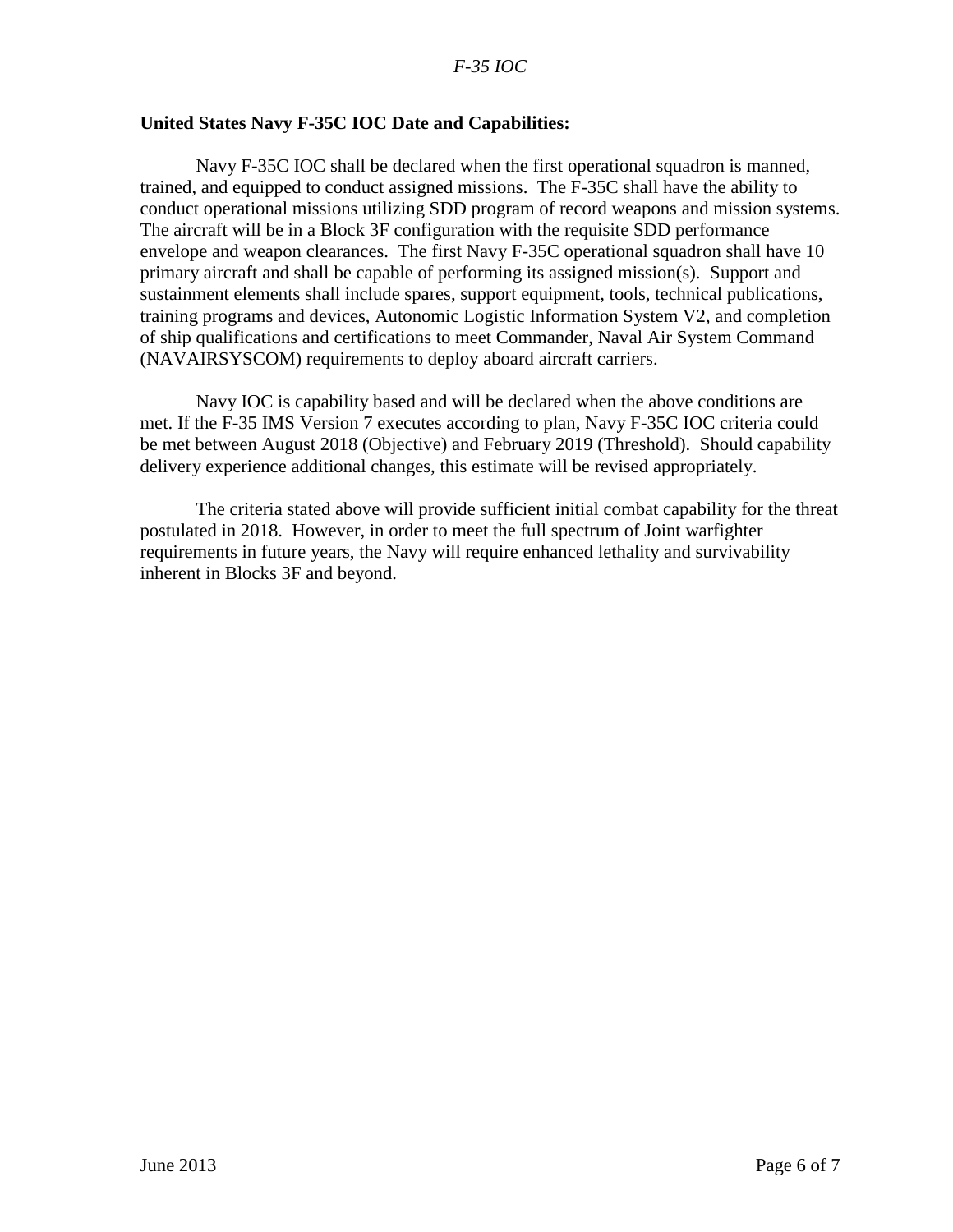#### **United States Navy F-35C IOC Date and Capabilities:**

Navy F-35C IOC shall be declared when the first operational squadron is manned, trained, and equipped to conduct assigned missions. The F-35C shall have the ability to conduct operational missions utilizing SDD program of record weapons and mission systems. The aircraft will be in a Block 3F configuration with the requisite SDD performance envelope and weapon clearances. The first Navy F-35C operational squadron shall have 10 primary aircraft and shall be capable of performing its assigned mission(s). Support and sustainment elements shall include spares, support equipment, tools, technical publications, training programs and devices, Autonomic Logistic Information System V2, and completion of ship qualifications and certifications to meet Commander, Naval Air System Command (NAVAIRSYSCOM) requirements to deploy aboard aircraft carriers.

Navy IOC is capability based and will be declared when the above conditions are met. If the F-35 IMS Version 7 executes according to plan, Navy F-35C IOC criteria could be met between August 2018 (Objective) and February 2019 (Threshold). Should capability delivery experience additional changes, this estimate will be revised appropriately.

The criteria stated above will provide sufficient initial combat capability for the threat postulated in 2018. However, in order to meet the full spectrum of Joint warfighter requirements in future years, the Navy will require enhanced lethality and survivability inherent in Blocks 3F and beyond.